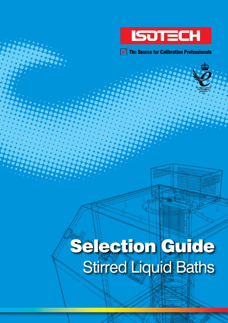

 $\sqrt{\phantom{a}}$  The Source for Calibration Professionals

# Selection Guide Stirred Liquid Baths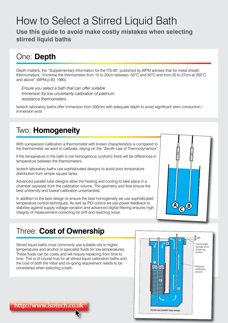## How to Select a Stirred Liquid Bath

**Use this guide to avoid make costly mistakes when selecting stirred liquid baths**

### One: **Depth**

Depth matters, the "Supplementary Information for the ITS-90" published by BIPM advises that for metal sheath thermometers, "Immerse the thermometer from 15 to 20cm between -50°C and 50°C and from 20 to 27cm at 200°C and above" (BIPM,p.93, 1990).

*Ensure you select a bath that can offer suitable immersion for low uncertainty calibration of platinum resistance thermometers*

Isotech laboratory baths offer immersion from 300mm with adequate depth to avoid significant stem conduction / immersion error.

#### Two: **Homogeneity**

With comparison calibration a thermometer with known characteristics is compared to the thermometer we want to calibrate, relying on the "Zeroth Law of Thermodynamics".

If the temperature in the bath is not homogenous (uniform) there will be differences in temperature between the thermometers.

Isotech laboratory baths use sophisticated designs to avoid poor temperature distribution from simple square tanks.

Advanced parallel tube designs allow the heating and cooling to take place in a chamber separate from the calibration volume. The geometry and flow ensure the best uniformity and lowest calibration uncertainties.

In addition to the best design to ensure the best homogeneity we use sophisticated temperature control techniques. As well as PID control we use power feedback to stabilise against supply voltage variation and advanced digital filtering ensures high integrity of measurement correcting for drift and rejecting noise.



#### Three: **Cost of Ownership**

Stirred liquid baths most commonly use suitable oils to higher temperatures and alcohol or specialist fluids for low temperatures. These fluids can be costly and will require replacing from time to time. This is of course true for all stirred liquid calibration baths and the cost of both the initial and on-going requirement needs to be considered when selecting a bath.



**http://www.isotech.co.uk**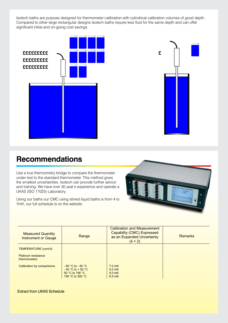Isotech baths are purpose designed for thermometer calibration with cylindrical calibration volumes of good depth. Compared to other large rectangular designs Isotech baths require less fluid for the same depth and can offer significant initial and on-going cost savings.





#### **Recommendations**

Use a true thermometry bridge to compare the thermometer under test to the standard thermometer. This method gives the smallest uncertainties. Isotech can provide further advice and training. We have over 30 year's experience and operate a **Figure Accreditation Service** Service Contractors UKAS (ISO 17025) Laboratory.

Using our baths our CMC using stirred liquid baths is from 4 to 7mK, our full schedule is on the website.



| <b>Measured Quantity</b><br><b>Instrument or Gauge</b> | Range                                                                                  | <b>Calibration and Measurement</b><br><b>Capability (CMC) Expressed</b><br>as an Expanded Uncertainty<br>$(k = 2)$ | <b>Remarks</b> |
|--------------------------------------------------------|----------------------------------------------------------------------------------------|--------------------------------------------------------------------------------------------------------------------|----------------|
| TEMPERATURE (cont'd)                                   |                                                                                        |                                                                                                                    |                |
| Platinum resistance<br><b>thermometers</b>             |                                                                                        |                                                                                                                    |                |
| Calibration by comparisons                             | $-80$ °C to $-40$ °C<br>$-40$ °C to + 50 °C<br>$50 °C$ to 156 $°C$<br>156 °C to 300 °C | 7.0 <sub>mK</sub><br>$4.0$ mK<br>$5.0$ mK<br>6.5 mK                                                                |                |